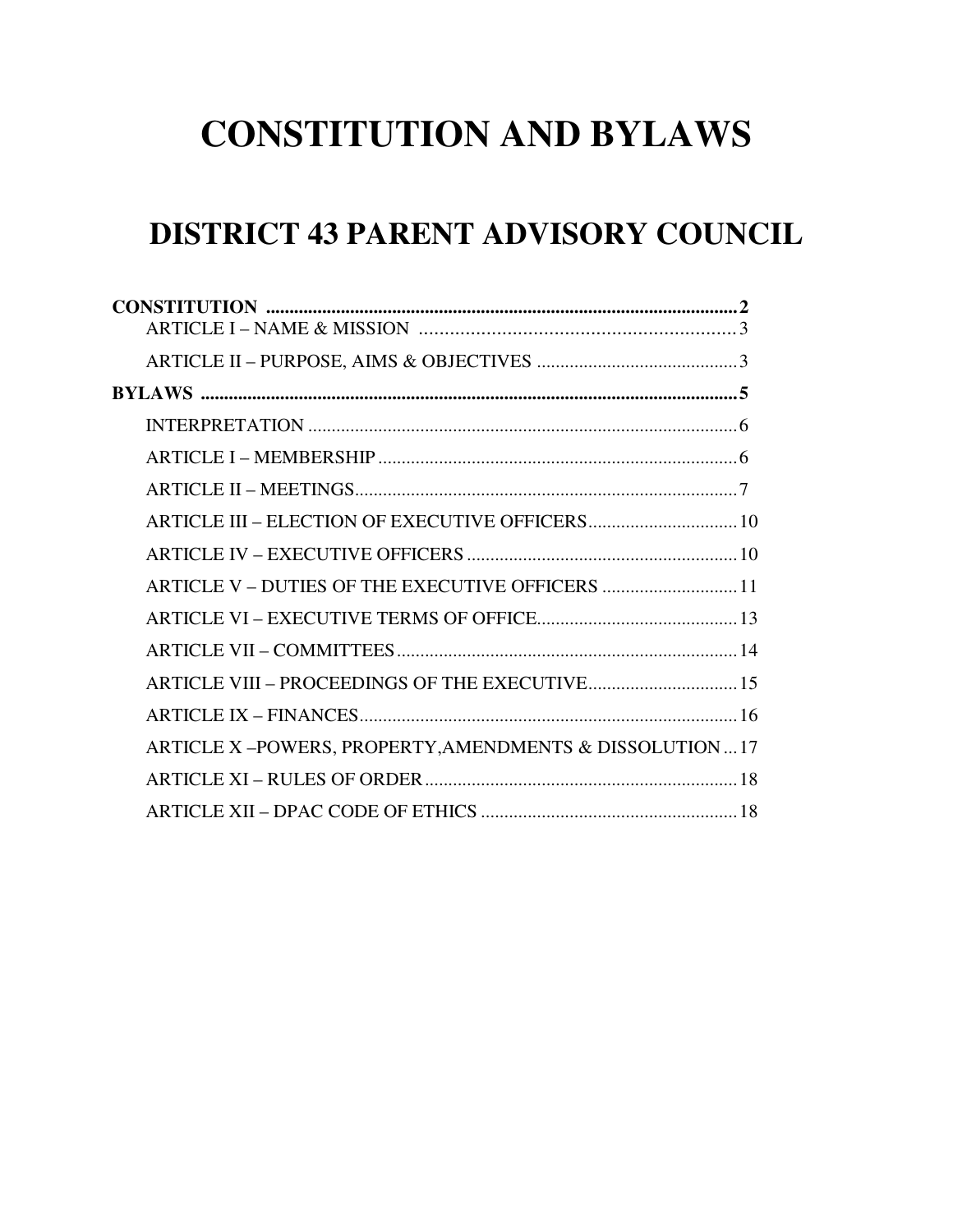# **CONSTITUTION AND BYLAWS**

# **DISTRICT 43 PARENT ADVISORY COUNCIL**

| ARTICLE V - DUTIES OF THE EXECUTIVE OFFICERS  11       |  |
|--------------------------------------------------------|--|
|                                                        |  |
|                                                        |  |
| ARTICLE VIII - PROCEEDINGS OF THE EXECUTIVE 15         |  |
|                                                        |  |
| ARTICLE X-POWERS, PROPERTY, AMENDMENTS & DISSOLUTION17 |  |
|                                                        |  |
|                                                        |  |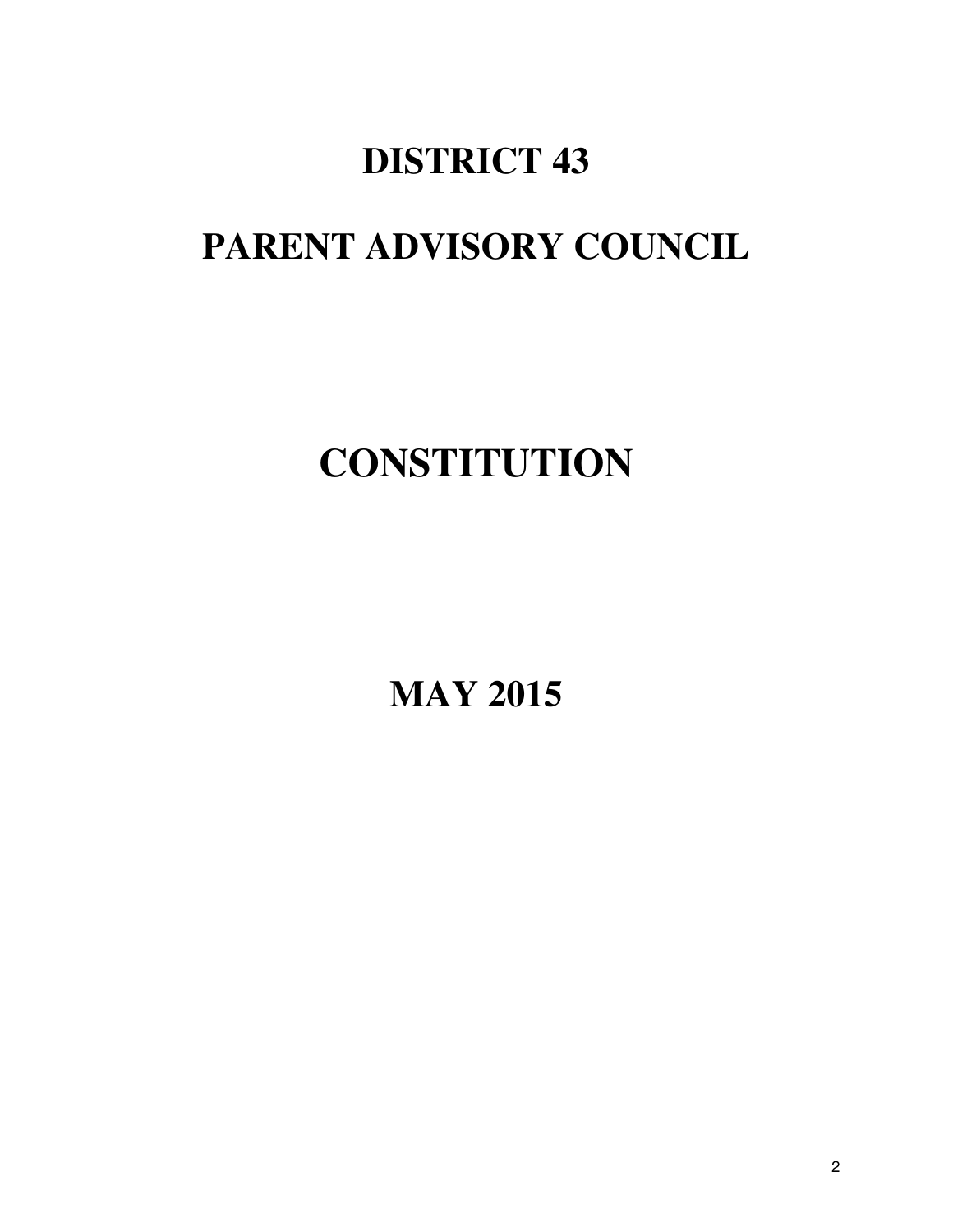# **DISTRICT 43**

# **PARENT ADVISORY COUNCIL**

# **CONSTITUTION**

**MAY 2015**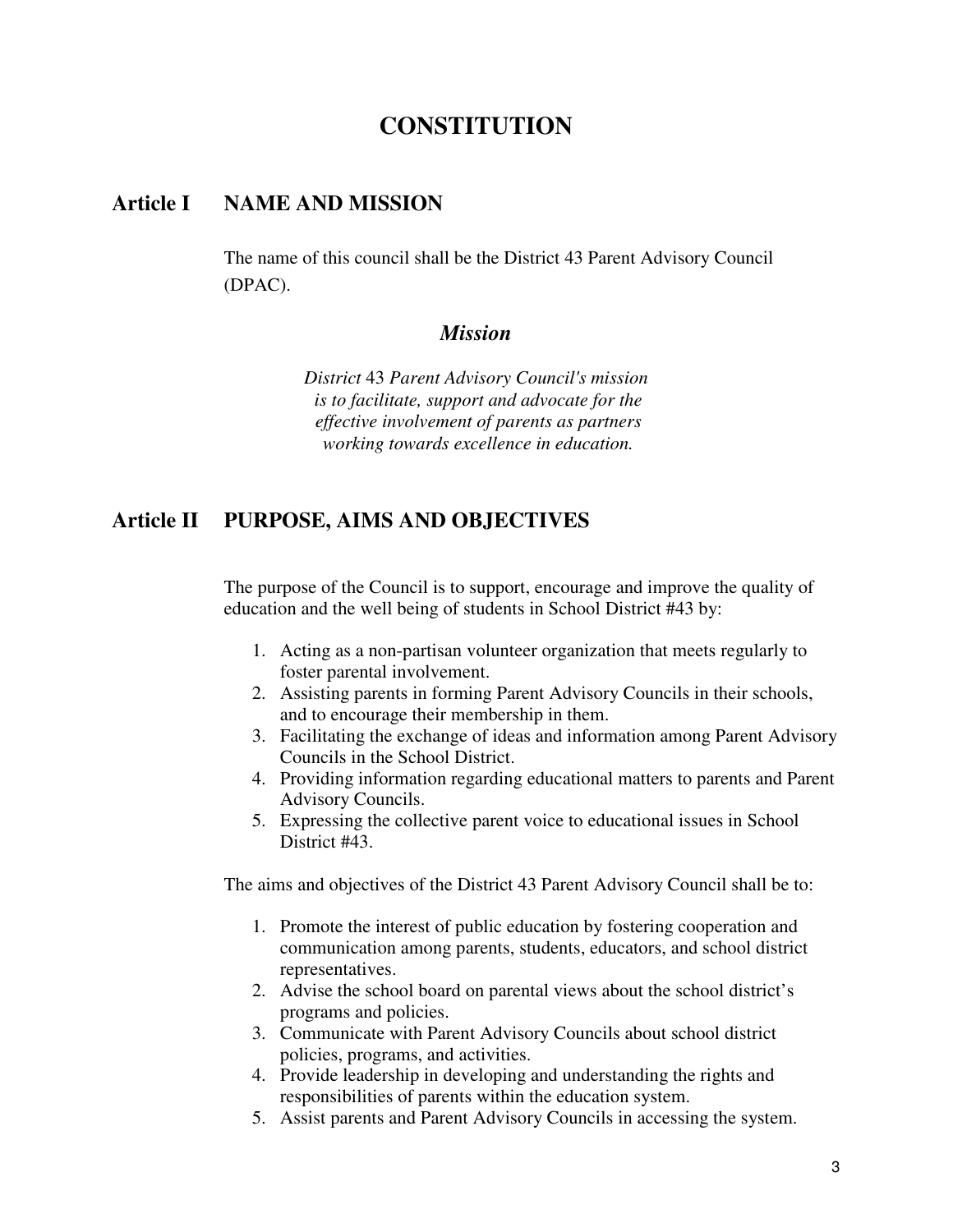# **CONSTITUTION**

#### **Article I NAME AND MISSION**

The name of this council shall be the District 43 Parent Advisory Council (DPAC).

#### *Mission*

*District* 43 *Parent Advisory Council's mission is to facilitate, support and advocate for the effective involvement of parents as partners working towards excellence in education.* 

#### **Article II PURPOSE, AIMS AND OBJECTIVES**

The purpose of the Council is to support, encourage and improve the quality of education and the well being of students in School District #43 by:

- 1. Acting as a non-partisan volunteer organization that meets regularly to foster parental involvement.
- 2. Assisting parents in forming Parent Advisory Councils in their schools, and to encourage their membership in them.
- 3. Facilitating the exchange of ideas and information among Parent Advisory Councils in the School District.
- 4. Providing information regarding educational matters to parents and Parent Advisory Councils.
- 5. Expressing the collective parent voice to educational issues in School District #43.

The aims and objectives of the District 43 Parent Advisory Council shall be to:

- 1. Promote the interest of public education by fostering cooperation and communication among parents, students, educators, and school district representatives.
- 2. Advise the school board on parental views about the school district's programs and policies.
- 3. Communicate with Parent Advisory Councils about school district policies, programs, and activities.
- 4. Provide leadership in developing and understanding the rights and responsibilities of parents within the education system.
- 5. Assist parents and Parent Advisory Councils in accessing the system.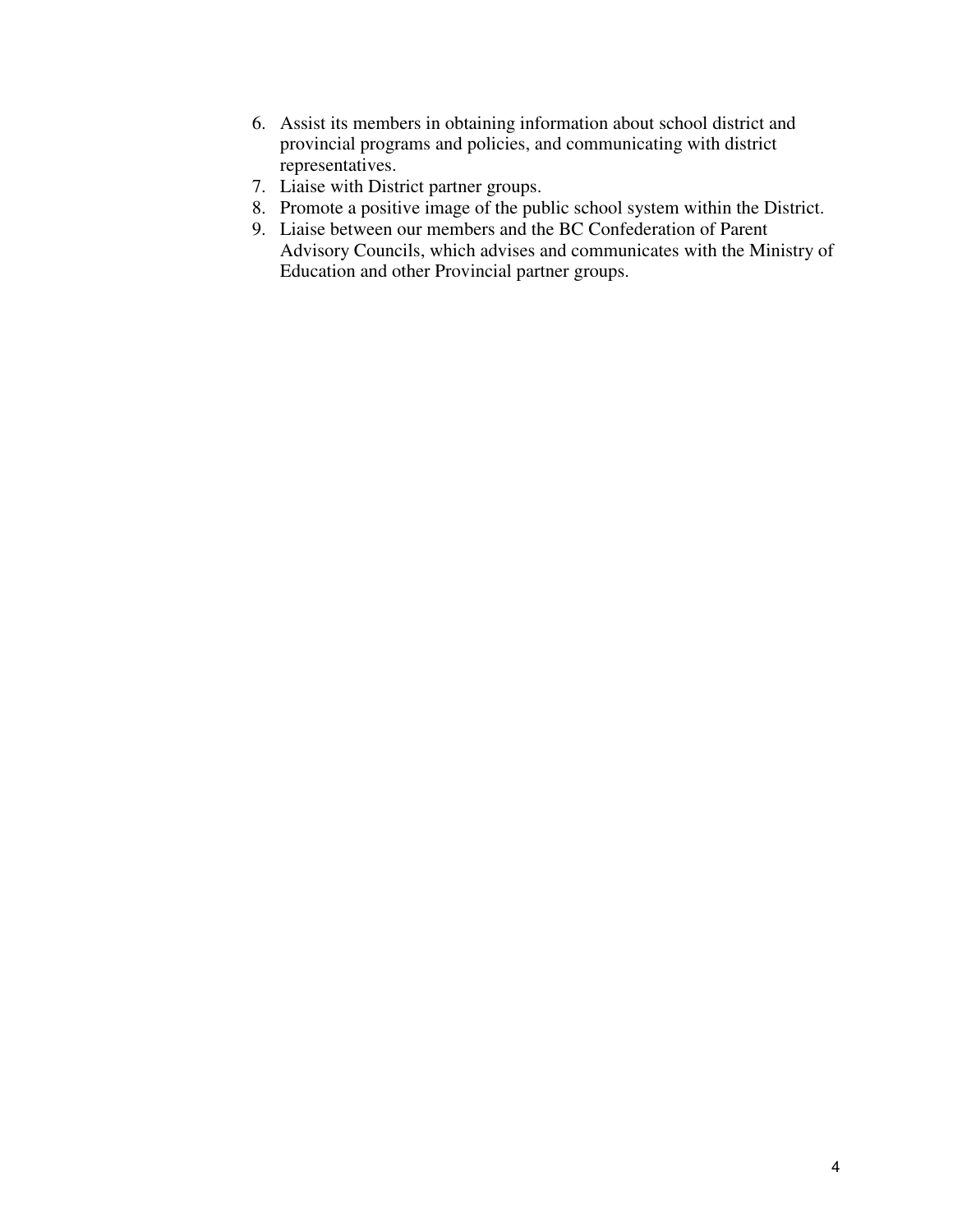- 6. Assist its members in obtaining information about school district and provincial programs and policies, and communicating with district representatives.
- 7. Liaise with District partner groups.
- 8. Promote a positive image of the public school system within the District.
- 9. Liaise between our members and the BC Confederation of Parent Advisory Councils, which advises and communicates with the Ministry of Education and other Provincial partner groups.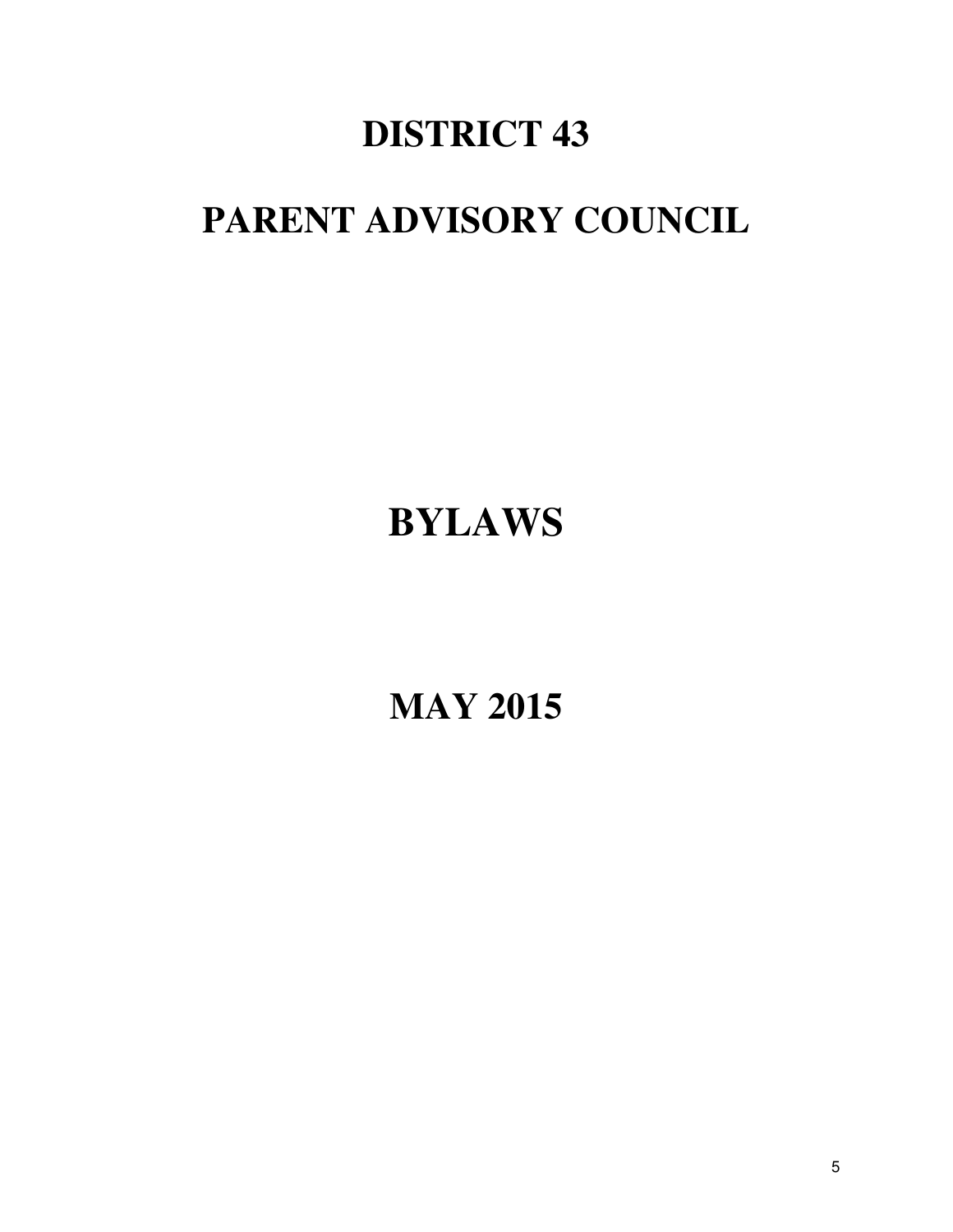# **DISTRICT 43**

# **PARENT ADVISORY COUNCIL**

# **BYLAWS**

**MAY 2015**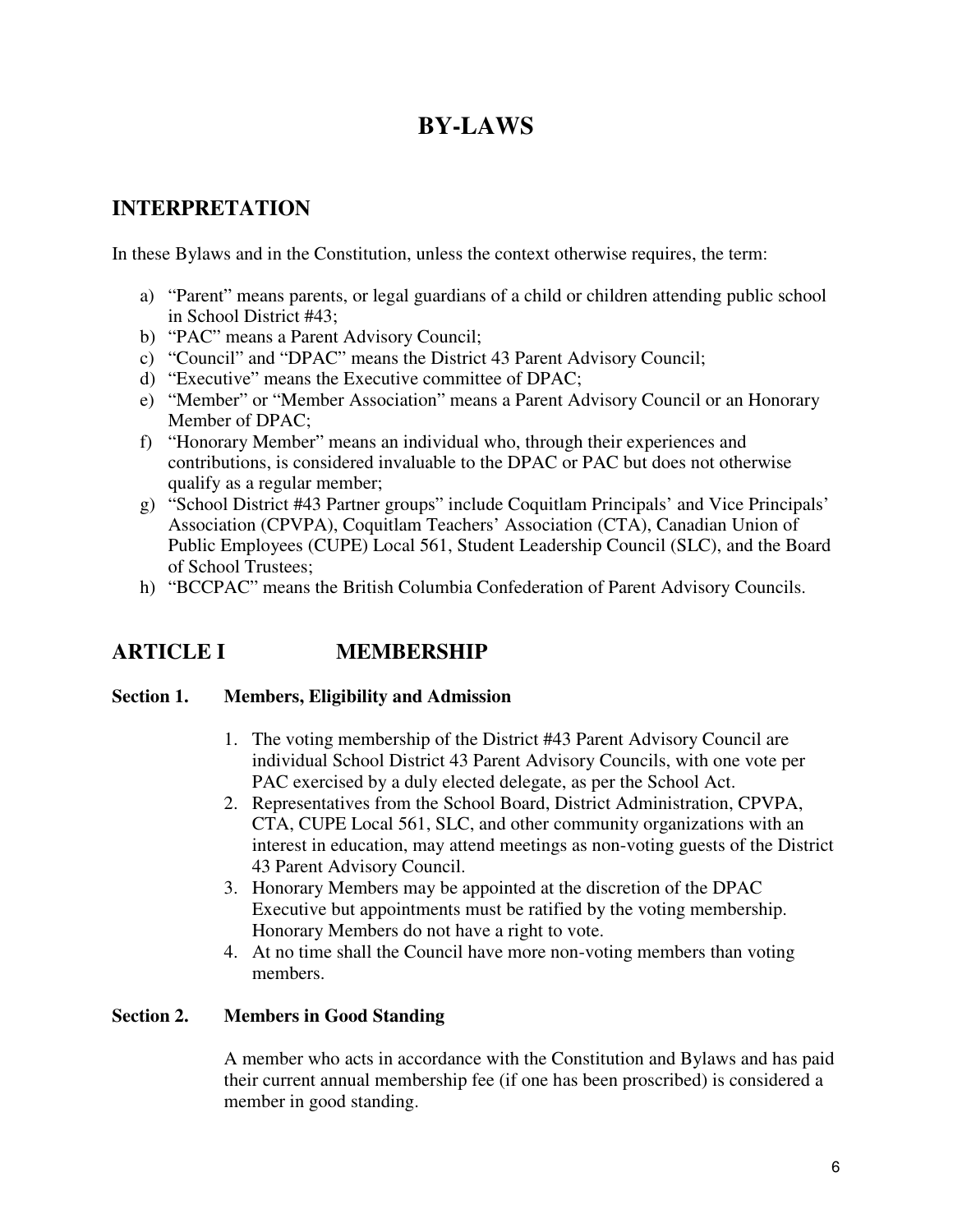# **BY-LAWS**

# **INTERPRETATION**

In these Bylaws and in the Constitution, unless the context otherwise requires, the term:

- a) "Parent" means parents, or legal guardians of a child or children attending public school in School District #43;
- b) "PAC" means a Parent Advisory Council;
- c) "Council" and "DPAC" means the District 43 Parent Advisory Council;
- d) "Executive" means the Executive committee of DPAC;
- e) "Member" or "Member Association" means a Parent Advisory Council or an Honorary Member of DPAC;
- f) "Honorary Member" means an individual who, through their experiences and contributions, is considered invaluable to the DPAC or PAC but does not otherwise qualify as a regular member;
- g) "School District #43 Partner groups" include Coquitlam Principals' and Vice Principals' Association (CPVPA), Coquitlam Teachers' Association (CTA), Canadian Union of Public Employees (CUPE) Local 561, Student Leadership Council (SLC), and the Board of School Trustees;
- h) "BCCPAC" means the British Columbia Confederation of Parent Advisory Councils.

# **ARTICLE I MEMBERSHIP**

#### **Section 1. Members, Eligibility and Admission**

- 1. The voting membership of the District #43 Parent Advisory Council are individual School District 43 Parent Advisory Councils, with one vote per PAC exercised by a duly elected delegate, as per the School Act.
- 2. Representatives from the School Board, District Administration, CPVPA, CTA, CUPE Local 561, SLC, and other community organizations with an interest in education, may attend meetings as non-voting guests of the District 43 Parent Advisory Council.
- 3. Honorary Members may be appointed at the discretion of the DPAC Executive but appointments must be ratified by the voting membership. Honorary Members do not have a right to vote.
- 4. At no time shall the Council have more non-voting members than voting members.

#### **Section 2. Members in Good Standing**

A member who acts in accordance with the Constitution and Bylaws and has paid their current annual membership fee (if one has been proscribed) is considered a member in good standing.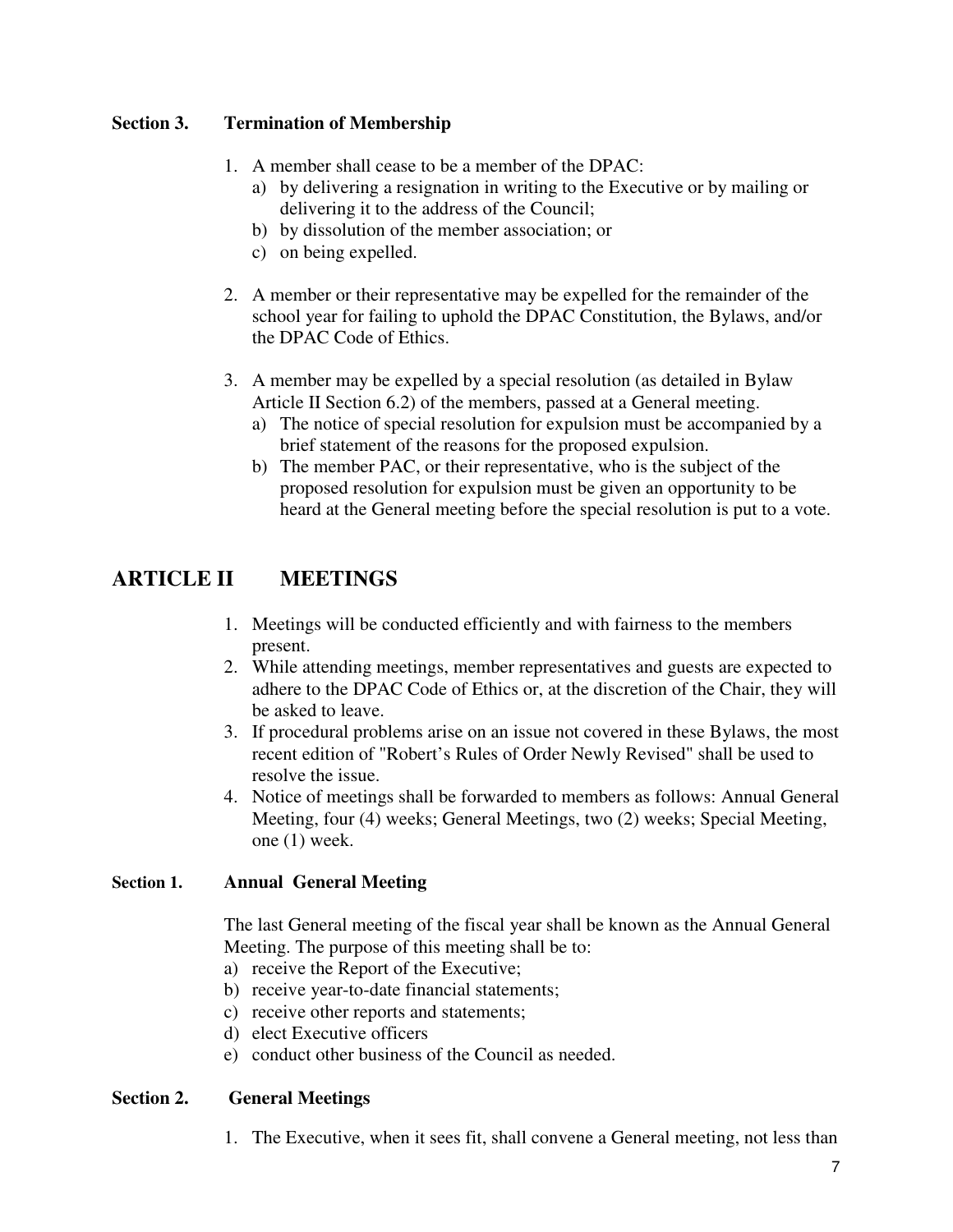#### **Section 3. Termination of Membership**

- 1. A member shall cease to be a member of the DPAC:
	- a) by delivering a resignation in writing to the Executive or by mailing or delivering it to the address of the Council;
	- b) by dissolution of the member association; or
	- c) on being expelled.
- 2. A member or their representative may be expelled for the remainder of the school year for failing to uphold the DPAC Constitution, the Bylaws, and/or the DPAC Code of Ethics.
- 3. A member may be expelled by a special resolution (as detailed in Bylaw Article II Section 6.2) of the members, passed at a General meeting.
	- a) The notice of special resolution for expulsion must be accompanied by a brief statement of the reasons for the proposed expulsion.
	- b) The member PAC, or their representative, who is the subject of the proposed resolution for expulsion must be given an opportunity to be heard at the General meeting before the special resolution is put to a vote.

# **ARTICLE II MEETINGS**

- 1. Meetings will be conducted efficiently and with fairness to the members present.
- 2. While attending meetings, member representatives and guests are expected to adhere to the DPAC Code of Ethics or, at the discretion of the Chair, they will be asked to leave.
- 3. If procedural problems arise on an issue not covered in these Bylaws, the most recent edition of "Robert's Rules of Order Newly Revised" shall be used to resolve the issue.
- 4. Notice of meetings shall be forwarded to members as follows: Annual General Meeting, four (4) weeks; General Meetings, two (2) weeks; Special Meeting, one (1) week.

#### **Section 1. Annual General Meeting**

The last General meeting of the fiscal year shall be known as the Annual General Meeting. The purpose of this meeting shall be to:

- a) receive the Report of the Executive;
- b) receive year-to-date financial statements;
- c) receive other reports and statements;
- d) elect Executive officers
- e) conduct other business of the Council as needed.

#### **Section 2. General Meetings**

1. The Executive, when it sees fit, shall convene a General meeting, not less than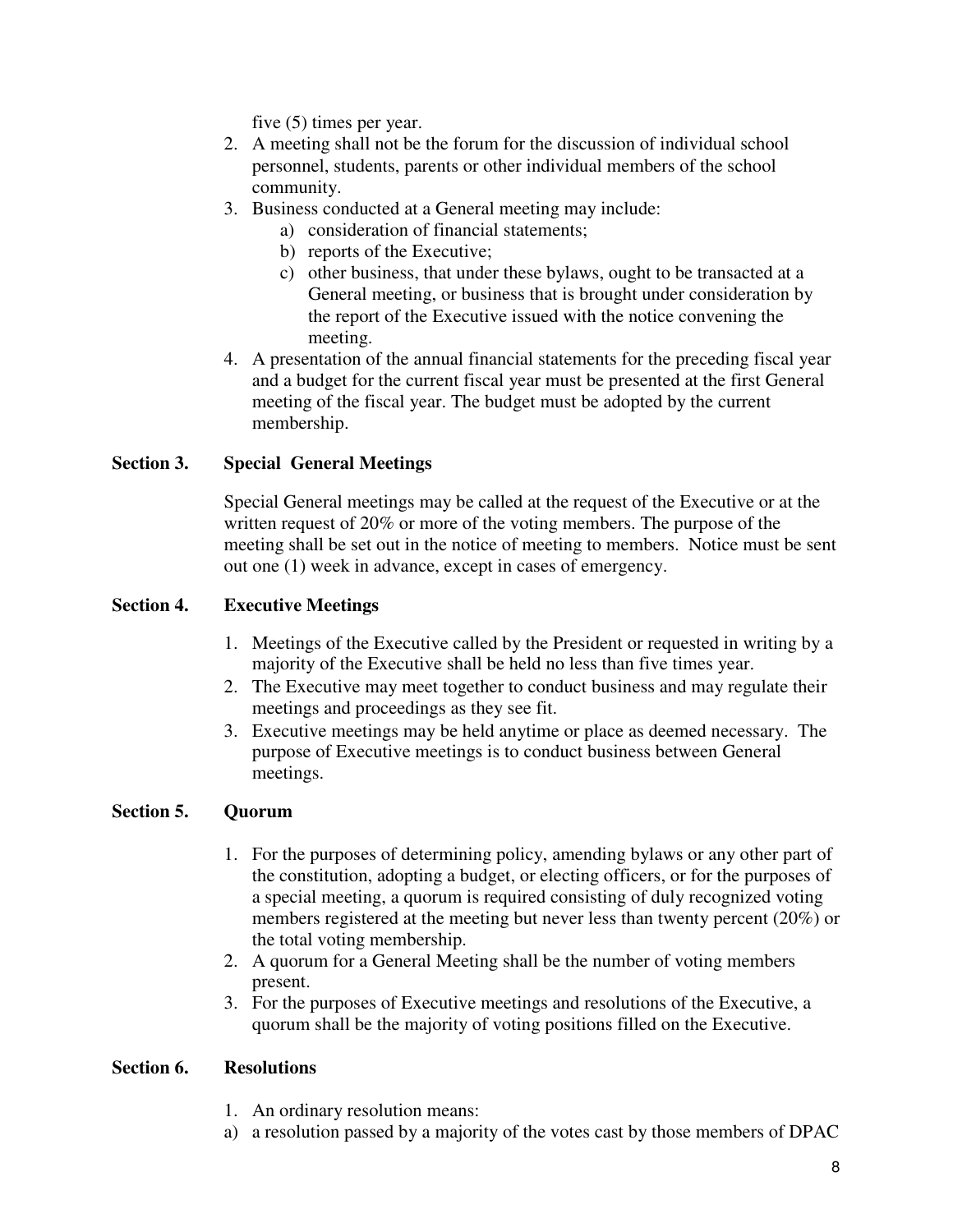five (5) times per year.

- 2. A meeting shall not be the forum for the discussion of individual school personnel, students, parents or other individual members of the school community.
- 3. Business conducted at a General meeting may include:
	- a) consideration of financial statements;
	- b) reports of the Executive;
	- c) other business, that under these bylaws, ought to be transacted at a General meeting, or business that is brought under consideration by the report of the Executive issued with the notice convening the meeting.
- 4. A presentation of the annual financial statements for the preceding fiscal year and a budget for the current fiscal year must be presented at the first General meeting of the fiscal year. The budget must be adopted by the current membership.

#### **Section 3. Special General Meetings**

Special General meetings may be called at the request of the Executive or at the written request of 20% or more of the voting members. The purpose of the meeting shall be set out in the notice of meeting to members. Notice must be sent out one (1) week in advance, except in cases of emergency.

#### **Section 4. Executive Meetings**

- 1. Meetings of the Executive called by the President or requested in writing by a majority of the Executive shall be held no less than five times year.
- 2. The Executive may meet together to conduct business and may regulate their meetings and proceedings as they see fit.
- 3. Executive meetings may be held anytime or place as deemed necessary. The purpose of Executive meetings is to conduct business between General meetings.

#### **Section 5. Quorum**

- 1. For the purposes of determining policy, amending bylaws or any other part of the constitution, adopting a budget, or electing officers, or for the purposes of a special meeting, a quorum is required consisting of duly recognized voting members registered at the meeting but never less than twenty percent (20%) or the total voting membership.
- 2. A quorum for a General Meeting shall be the number of voting members present.
- 3. For the purposes of Executive meetings and resolutions of the Executive, a quorum shall be the majority of voting positions filled on the Executive.

#### **Section 6. Resolutions**

- 1. An ordinary resolution means:
- a) a resolution passed by a majority of the votes cast by those members of DPAC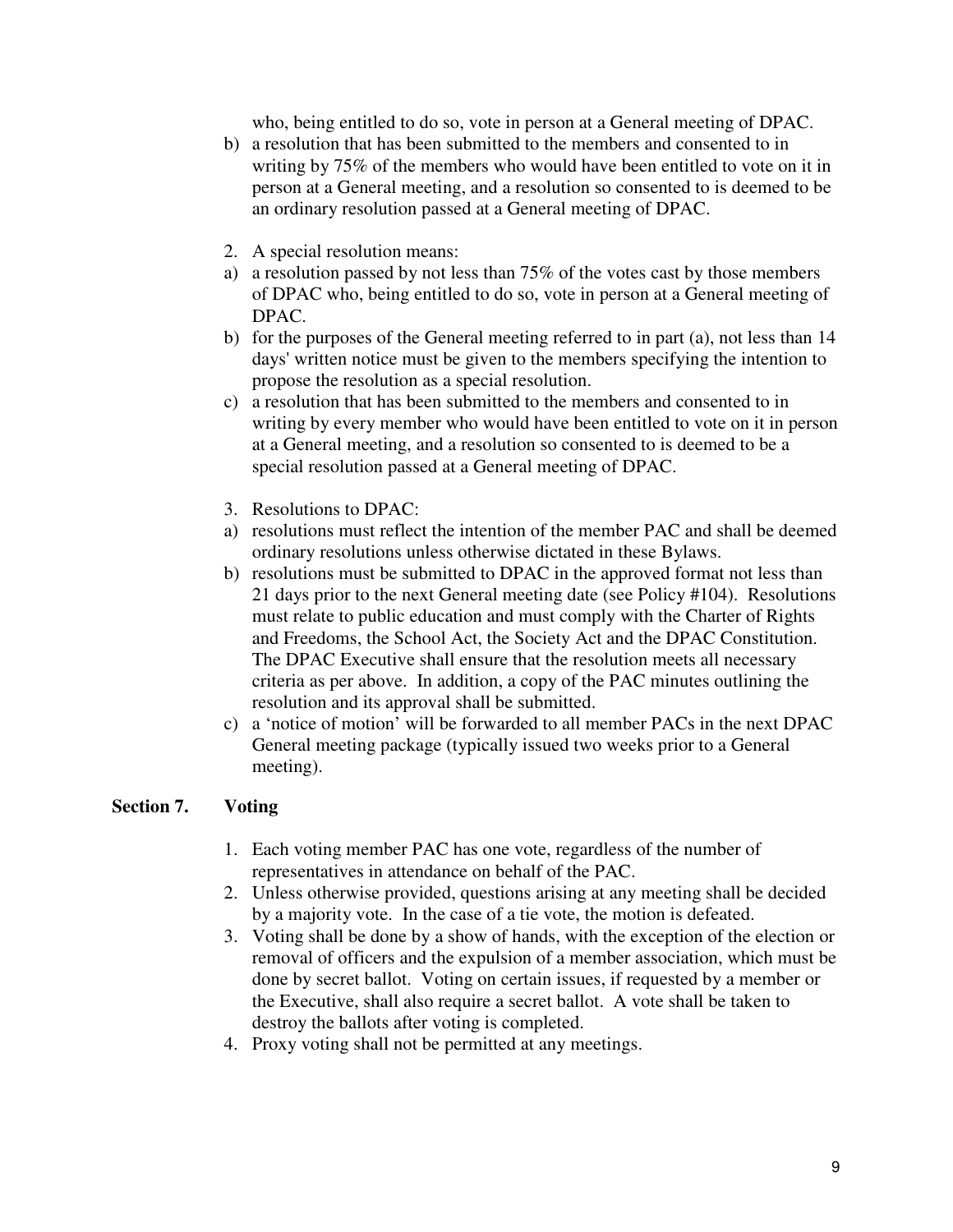who, being entitled to do so, vote in person at a General meeting of DPAC.

- b) a resolution that has been submitted to the members and consented to in writing by 75% of the members who would have been entitled to vote on it in person at a General meeting, and a resolution so consented to is deemed to be an ordinary resolution passed at a General meeting of DPAC.
- 2. A special resolution means:
- a) a resolution passed by not less than 75% of the votes cast by those members of DPAC who, being entitled to do so, vote in person at a General meeting of DPAC.
- b) for the purposes of the General meeting referred to in part (a), not less than 14 days' written notice must be given to the members specifying the intention to propose the resolution as a special resolution.
- c) a resolution that has been submitted to the members and consented to in writing by every member who would have been entitled to vote on it in person at a General meeting, and a resolution so consented to is deemed to be a special resolution passed at a General meeting of DPAC.
- 3. Resolutions to DPAC:
- a) resolutions must reflect the intention of the member PAC and shall be deemed ordinary resolutions unless otherwise dictated in these Bylaws.
- b) resolutions must be submitted to DPAC in the approved format not less than 21 days prior to the next General meeting date (see Policy #104). Resolutions must relate to public education and must comply with the Charter of Rights and Freedoms, the School Act, the Society Act and the DPAC Constitution. The DPAC Executive shall ensure that the resolution meets all necessary criteria as per above. In addition, a copy of the PAC minutes outlining the resolution and its approval shall be submitted.
- c) a 'notice of motion' will be forwarded to all member PACs in the next DPAC General meeting package (typically issued two weeks prior to a General meeting).

#### **Section 7. Voting**

- 1. Each voting member PAC has one vote, regardless of the number of representatives in attendance on behalf of the PAC.
- 2. Unless otherwise provided, questions arising at any meeting shall be decided by a majority vote. In the case of a tie vote, the motion is defeated.
- 3. Voting shall be done by a show of hands, with the exception of the election or removal of officers and the expulsion of a member association, which must be done by secret ballot. Voting on certain issues, if requested by a member or the Executive, shall also require a secret ballot. A vote shall be taken to destroy the ballots after voting is completed.
- 4. Proxy voting shall not be permitted at any meetings.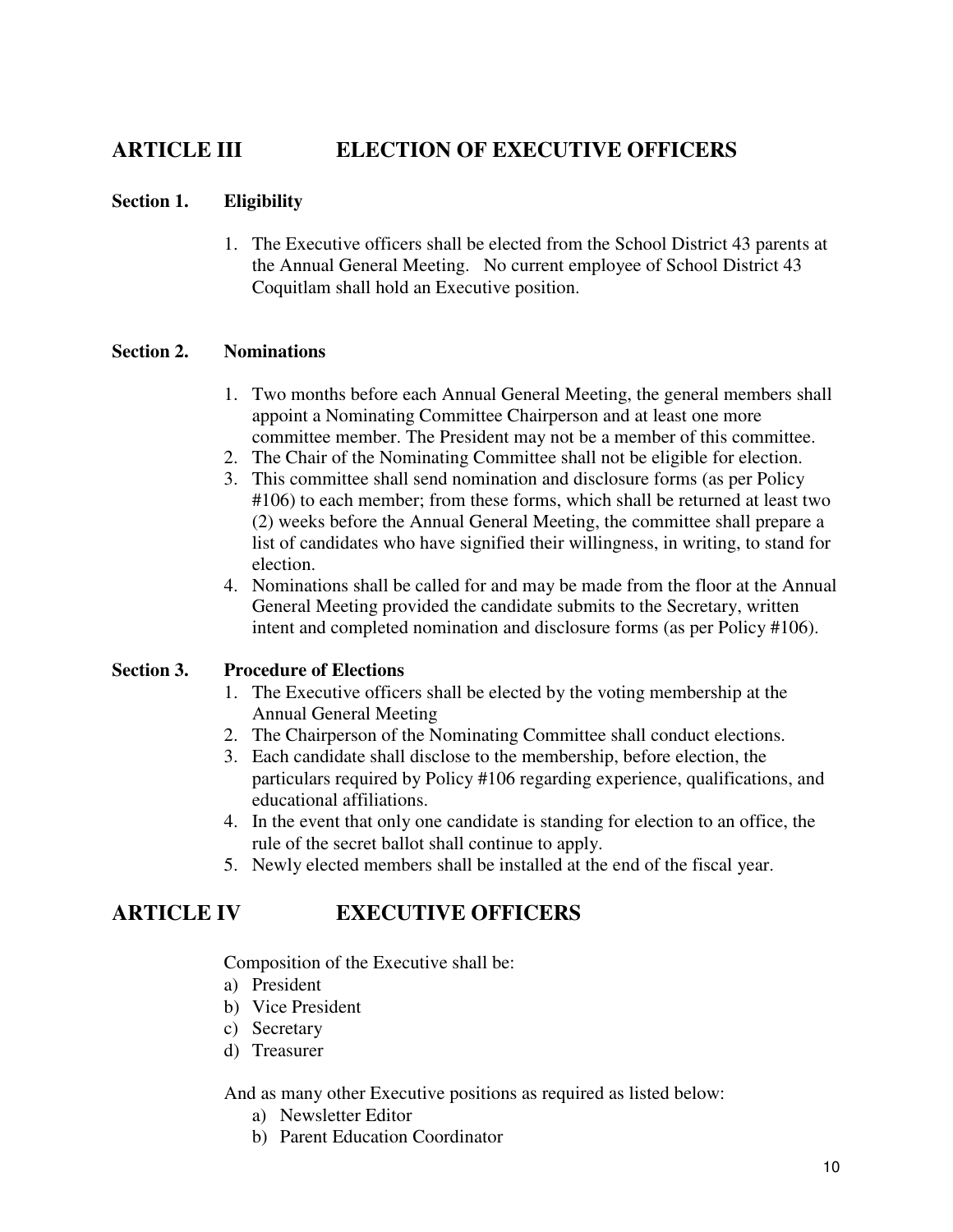# **ARTICLE III ELECTION OF EXECUTIVE OFFICERS**

#### **Section 1. Eligibility**

1. The Executive officers shall be elected from the School District 43 parents at the Annual General Meeting. No current employee of School District 43 Coquitlam shall hold an Executive position.

#### **Section 2. Nominations**

- 1. Two months before each Annual General Meeting, the general members shall appoint a Nominating Committee Chairperson and at least one more committee member. The President may not be a member of this committee.
- 2. The Chair of the Nominating Committee shall not be eligible for election.
- 3. This committee shall send nomination and disclosure forms (as per Policy #106) to each member; from these forms, which shall be returned at least two (2) weeks before the Annual General Meeting, the committee shall prepare a list of candidates who have signified their willingness, in writing, to stand for election.
- 4. Nominations shall be called for and may be made from the floor at the Annual General Meeting provided the candidate submits to the Secretary, written intent and completed nomination and disclosure forms (as per Policy #106).

#### **Section 3. Procedure of Elections**

- 1. The Executive officers shall be elected by the voting membership at the Annual General Meeting
- 2. The Chairperson of the Nominating Committee shall conduct elections.
- 3. Each candidate shall disclose to the membership, before election, the particulars required by Policy #106 regarding experience, qualifications, and educational affiliations.
- 4. In the event that only one candidate is standing for election to an office, the rule of the secret ballot shall continue to apply.
- 5. Newly elected members shall be installed at the end of the fiscal year.

### **ARTICLE IV EXECUTIVE OFFICERS**

Composition of the Executive shall be:

- a) President
- b) Vice President
- c) Secretary
- d) Treasurer

And as many other Executive positions as required as listed below:

- a) Newsletter Editor
- b) Parent Education Coordinator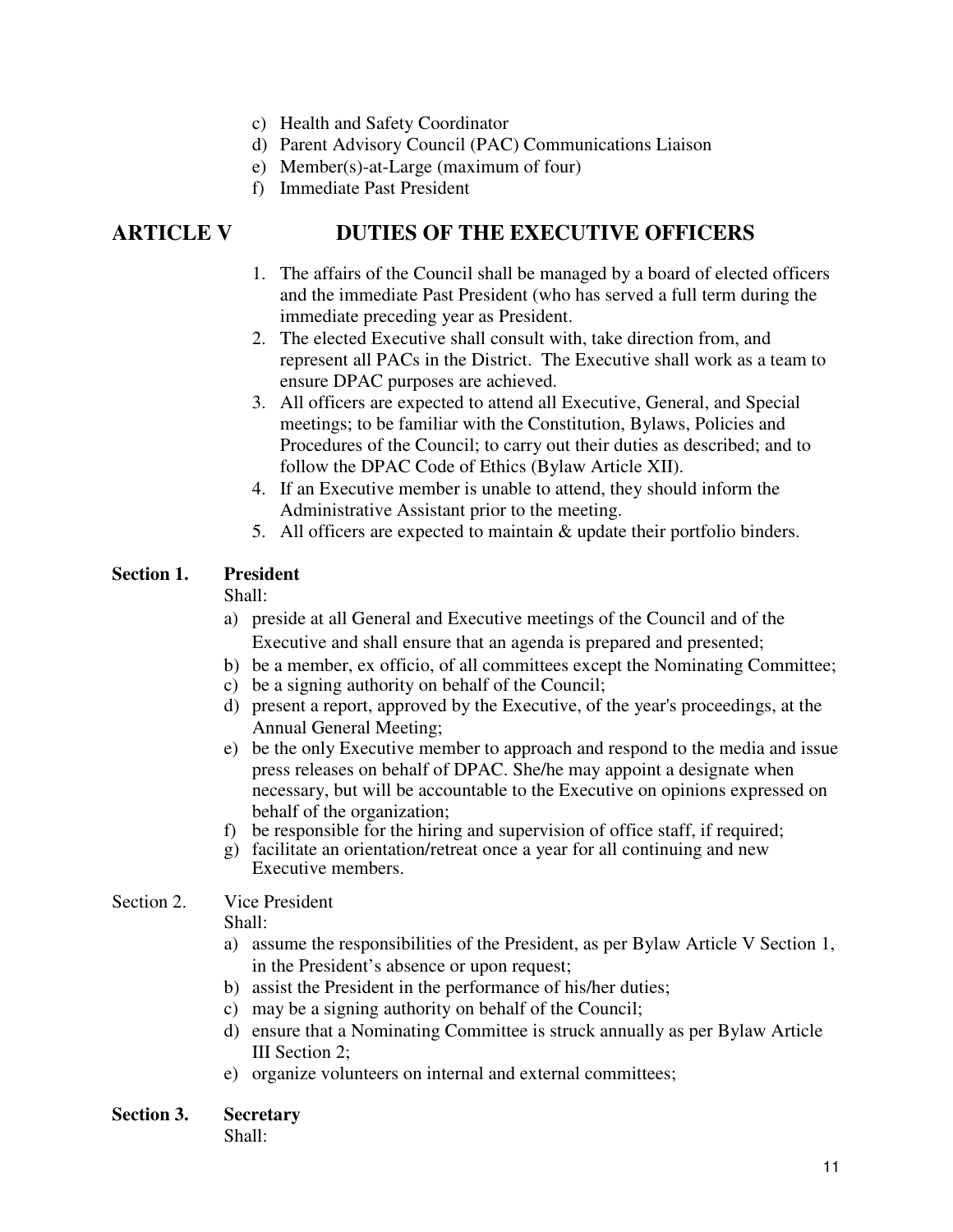- c) Health and Safety Coordinator
- d) Parent Advisory Council (PAC) Communications Liaison
- e) Member(s)-at-Large (maximum of four)
- f) Immediate Past President

### **ARTICLE V DUTIES OF THE EXECUTIVE OFFICERS**

- 1. The affairs of the Council shall be managed by a board of elected officers and the immediate Past President (who has served a full term during the immediate preceding year as President.
- 2. The elected Executive shall consult with, take direction from, and represent all PACs in the District. The Executive shall work as a team to ensure DPAC purposes are achieved.
- 3. All officers are expected to attend all Executive, General, and Special meetings; to be familiar with the Constitution, Bylaws, Policies and Procedures of the Council; to carry out their duties as described; and to follow the DPAC Code of Ethics (Bylaw Article XII).
- 4. If an Executive member is unable to attend, they should inform the Administrative Assistant prior to the meeting.
- 5. All officers are expected to maintain & update their portfolio binders.

#### **Section 1. President**

Shall:

- a) preside at all General and Executive meetings of the Council and of the Executive and shall ensure that an agenda is prepared and presented;
- b) be a member, ex officio, of all committees except the Nominating Committee;
- c) be a signing authority on behalf of the Council;
- d) present a report, approved by the Executive, of the year's proceedings, at the Annual General Meeting;
- e) be the only Executive member to approach and respond to the media and issue press releases on behalf of DPAC. She/he may appoint a designate when necessary, but will be accountable to the Executive on opinions expressed on behalf of the organization;
- f) be responsible for the hiring and supervision of office staff, if required;
- g) facilitate an orientation/retreat once a year for all continuing and new Executive members.

#### Section 2. Vice President

Shall:

- a) assume the responsibilities of the President, as per Bylaw Article V Section 1, in the President's absence or upon request;
- b) assist the President in the performance of his/her duties;
- c) may be a signing authority on behalf of the Council;
- d) ensure that a Nominating Committee is struck annually as per Bylaw Article III Section 2;
- e) organize volunteers on internal and external committees;

#### **Section 3. Secretary**

Shall: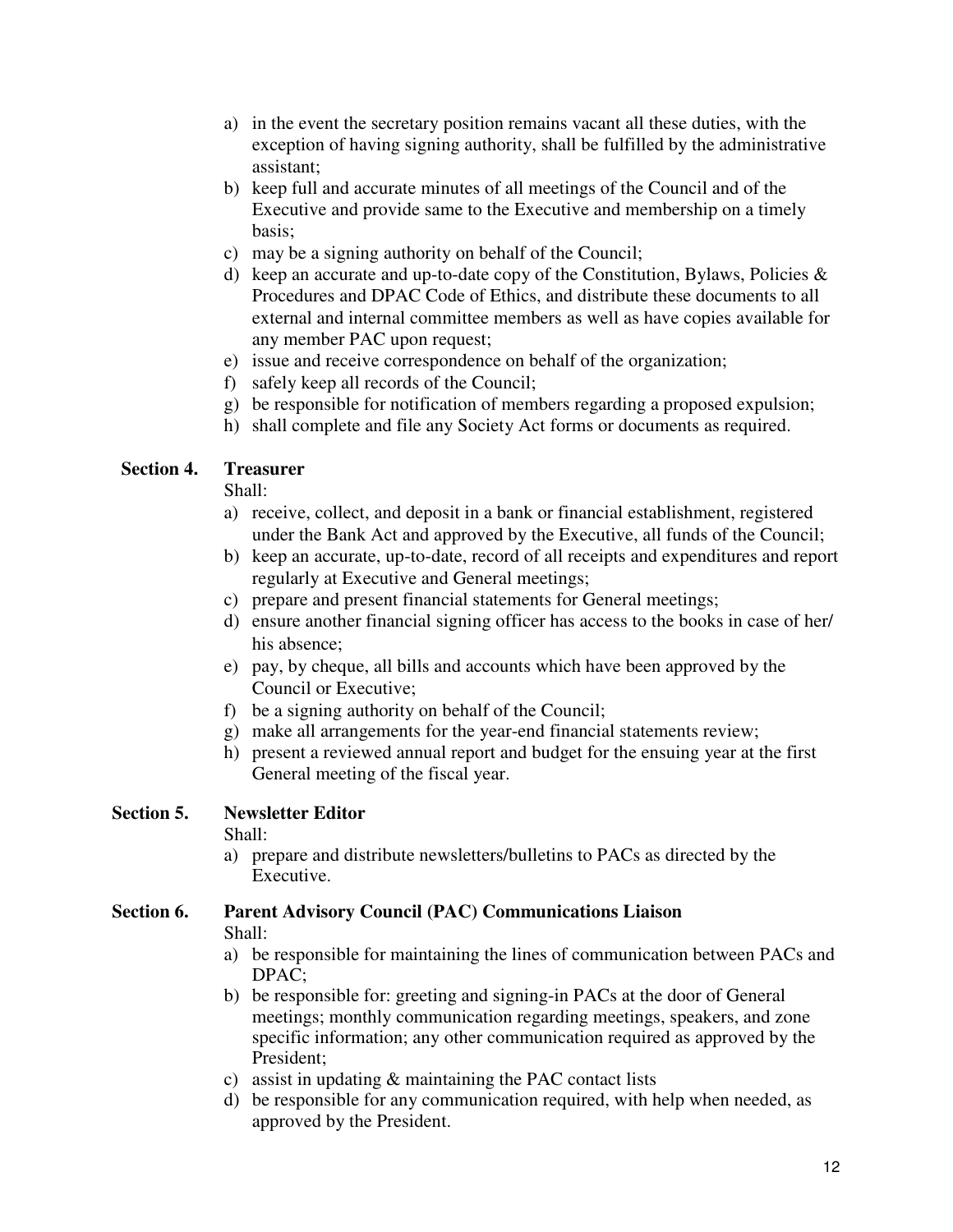- a) in the event the secretary position remains vacant all these duties, with the exception of having signing authority, shall be fulfilled by the administrative assistant;
- b) keep full and accurate minutes of all meetings of the Council and of the Executive and provide same to the Executive and membership on a timely basis;
- c) may be a signing authority on behalf of the Council;
- d) keep an accurate and up-to-date copy of the Constitution, Bylaws, Policies  $\&$ Procedures and DPAC Code of Ethics, and distribute these documents to all external and internal committee members as well as have copies available for any member PAC upon request;
- e) issue and receive correspondence on behalf of the organization;
- f) safely keep all records of the Council;
- g) be responsible for notification of members regarding a proposed expulsion;
- h) shall complete and file any Society Act forms or documents as required.

#### **Section 4. Treasurer**

Shall:

- a) receive, collect, and deposit in a bank or financial establishment, registered under the Bank Act and approved by the Executive, all funds of the Council;
- b) keep an accurate, up-to-date, record of all receipts and expenditures and report regularly at Executive and General meetings;
- c) prepare and present financial statements for General meetings;
- d) ensure another financial signing officer has access to the books in case of her/ his absence;
- e) pay, by cheque, all bills and accounts which have been approved by the Council or Executive;
- f) be a signing authority on behalf of the Council;
- g) make all arrangements for the year-end financial statements review;
- h) present a reviewed annual report and budget for the ensuing year at the first General meeting of the fiscal year.

#### **Section 5. Newsletter Editor**

Shall:

a) prepare and distribute newsletters/bulletins to PACs as directed by the Executive.

# **Section 6. Parent Advisory Council (PAC) Communications Liaison**

Shall:

- a) be responsible for maintaining the lines of communication between PACs and DPAC;
- b) be responsible for: greeting and signing-in PACs at the door of General meetings; monthly communication regarding meetings, speakers, and zone specific information; any other communication required as approved by the President;
- c) assist in updating & maintaining the PAC contact lists
- d) be responsible for any communication required, with help when needed, as approved by the President.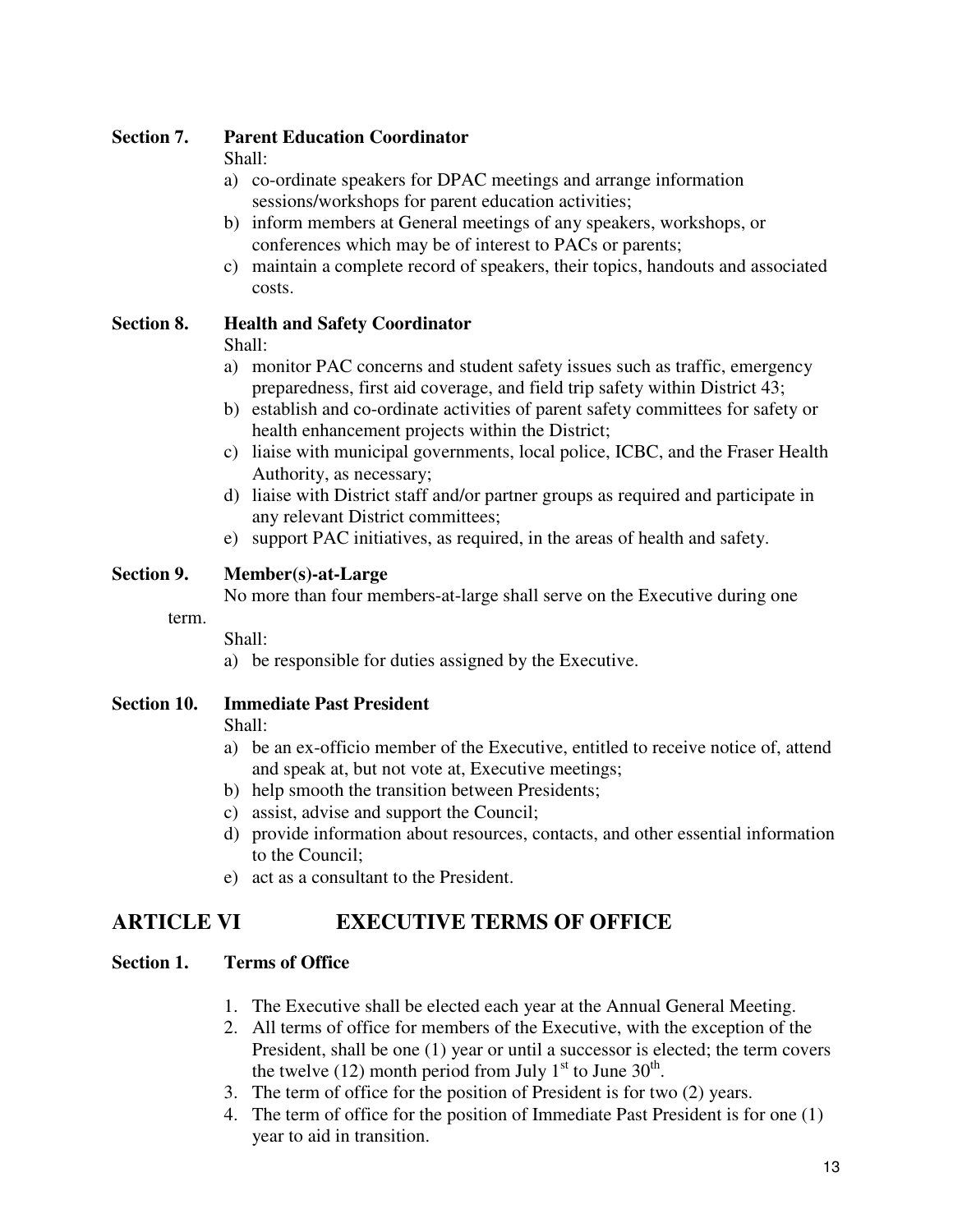#### **Section 7. Parent Education Coordinator**

Shall:

- a) co-ordinate speakers for DPAC meetings and arrange information sessions/workshops for parent education activities;
- b) inform members at General meetings of any speakers, workshops, or conferences which may be of interest to PACs or parents;
- c) maintain a complete record of speakers, their topics, handouts and associated costs.

#### **Section 8. Health and Safety Coordinator**

Shall:

- a) monitor PAC concerns and student safety issues such as traffic, emergency preparedness, first aid coverage, and field trip safety within District 43;
- b) establish and co-ordinate activities of parent safety committees for safety or health enhancement projects within the District;
- c) liaise with municipal governments, local police, ICBC, and the Fraser Health Authority, as necessary;
- d) liaise with District staff and/or partner groups as required and participate in any relevant District committees;
- e) support PAC initiatives, as required, in the areas of health and safety.

#### **Section 9. Member(s)-at-Large**

No more than four members-at-large shall serve on the Executive during one

term.

Shall:

a) be responsible for duties assigned by the Executive.

#### **Section 10. Immediate Past President**

Shall:

- a) be an ex-officio member of the Executive, entitled to receive notice of, attend and speak at, but not vote at, Executive meetings;
- b) help smooth the transition between Presidents;
- c) assist, advise and support the Council;
- d) provide information about resources, contacts, and other essential information to the Council;
- e) act as a consultant to the President.

# **ARTICLE VI EXECUTIVE TERMS OF OFFICE**

#### **Section 1. Terms of Office**

- 1. The Executive shall be elected each year at the Annual General Meeting.
- 2. All terms of office for members of the Executive, with the exception of the President, shall be one (1) year or until a successor is elected; the term covers the twelve (12) month period from July  $1<sup>st</sup>$  to June  $30<sup>th</sup>$ .
- 3. The term of office for the position of President is for two (2) years.
- 4. The term of office for the position of Immediate Past President is for one (1) year to aid in transition.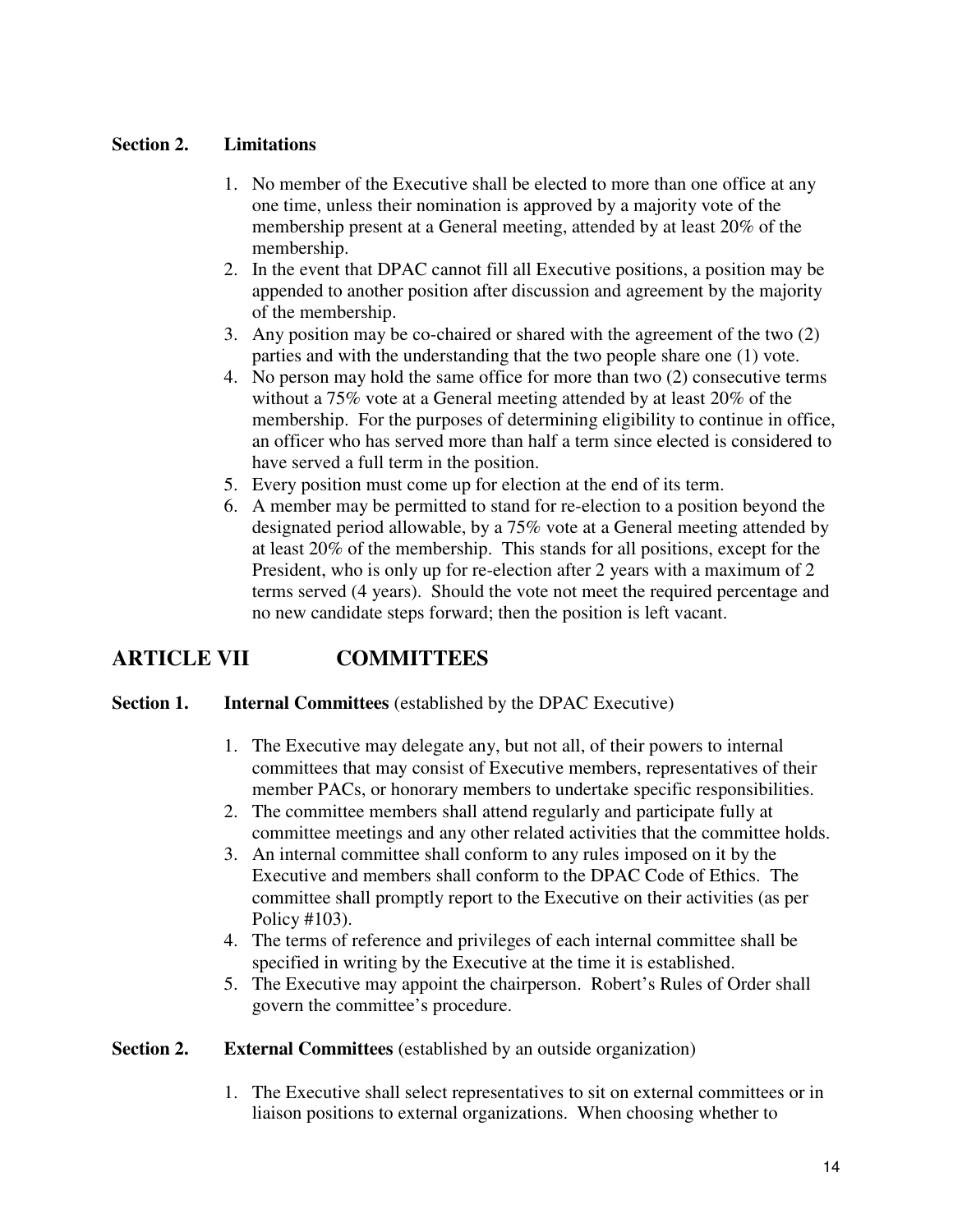#### **Section 2. Limitations**

- 1. No member of the Executive shall be elected to more than one office at any one time, unless their nomination is approved by a majority vote of the membership present at a General meeting, attended by at least 20% of the membership.
- 2. In the event that DPAC cannot fill all Executive positions, a position may be appended to another position after discussion and agreement by the majority of the membership.
- 3. Any position may be co-chaired or shared with the agreement of the two (2) parties and with the understanding that the two people share one (1) vote.
- 4. No person may hold the same office for more than two (2) consecutive terms without a 75% vote at a General meeting attended by at least 20% of the membership. For the purposes of determining eligibility to continue in office, an officer who has served more than half a term since elected is considered to have served a full term in the position.
- 5. Every position must come up for election at the end of its term.
- 6. A member may be permitted to stand for re-election to a position beyond the designated period allowable, by a 75% vote at a General meeting attended by at least 20% of the membership. This stands for all positions, except for the President, who is only up for re-election after 2 years with a maximum of 2 terms served (4 years). Should the vote not meet the required percentage and no new candidate steps forward; then the position is left vacant.

# **ARTICLE VII COMMITTEES**

#### **Section 1. Internal Committees** (established by the DPAC Executive)

- 1. The Executive may delegate any, but not all, of their powers to internal committees that may consist of Executive members, representatives of their member PACs, or honorary members to undertake specific responsibilities.
- 2. The committee members shall attend regularly and participate fully at committee meetings and any other related activities that the committee holds.
- 3. An internal committee shall conform to any rules imposed on it by the Executive and members shall conform to the DPAC Code of Ethics. The committee shall promptly report to the Executive on their activities (as per Policy #103).
- 4. The terms of reference and privileges of each internal committee shall be specified in writing by the Executive at the time it is established.
- 5. The Executive may appoint the chairperson. Robert's Rules of Order shall govern the committee's procedure.

#### **Section 2.** External Committees (established by an outside organization)

1. The Executive shall select representatives to sit on external committees or in liaison positions to external organizations. When choosing whether to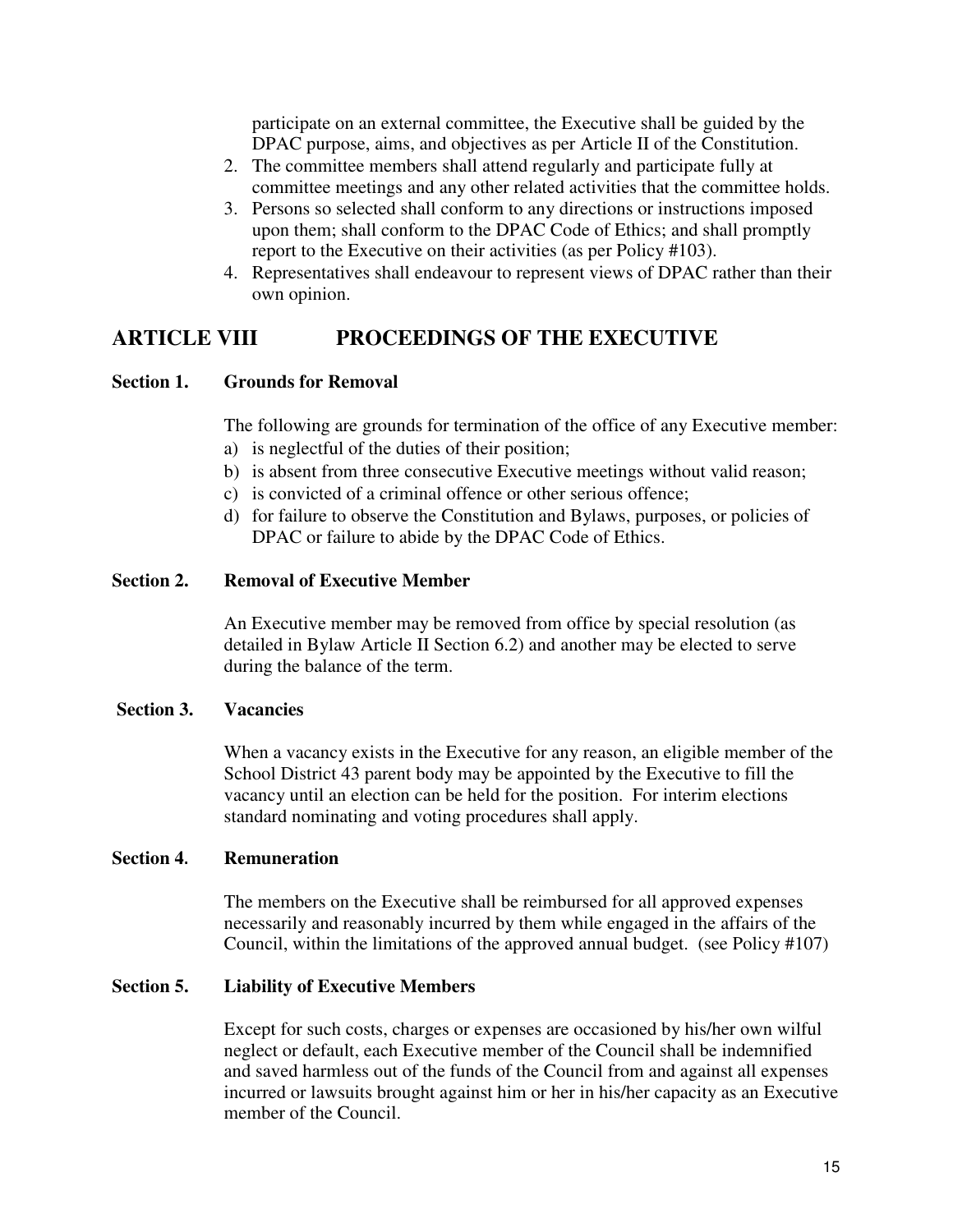participate on an external committee, the Executive shall be guided by the DPAC purpose, aims, and objectives as per Article II of the Constitution.

- 2. The committee members shall attend regularly and participate fully at committee meetings and any other related activities that the committee holds.
- 3. Persons so selected shall conform to any directions or instructions imposed upon them; shall conform to the DPAC Code of Ethics; and shall promptly report to the Executive on their activities (as per Policy #103).
- 4. Representatives shall endeavour to represent views of DPAC rather than their own opinion.

### **ARTICLE VIII PROCEEDINGS OF THE EXECUTIVE**

#### **Section 1. Grounds for Removal**

The following are grounds for termination of the office of any Executive member:

- a) is neglectful of the duties of their position;
- b) is absent from three consecutive Executive meetings without valid reason;
- c) is convicted of a criminal offence or other serious offence;
- d) for failure to observe the Constitution and Bylaws, purposes, or policies of DPAC or failure to abide by the DPAC Code of Ethics.

#### **Section 2. Removal of Executive Member**

An Executive member may be removed from office by special resolution (as detailed in Bylaw Article II Section 6.2) and another may be elected to serve during the balance of the term.

#### **Section 3. Vacancies**

When a vacancy exists in the Executive for any reason, an eligible member of the School District 43 parent body may be appointed by the Executive to fill the vacancy until an election can be held for the position. For interim elections standard nominating and voting procedures shall apply.

#### **Section 4**. **Remuneration**

The members on the Executive shall be reimbursed for all approved expenses necessarily and reasonably incurred by them while engaged in the affairs of the Council, within the limitations of the approved annual budget. (see Policy #107)

#### **Section 5. Liability of Executive Members**

Except for such costs, charges or expenses are occasioned by his/her own wilful neglect or default, each Executive member of the Council shall be indemnified and saved harmless out of the funds of the Council from and against all expenses incurred or lawsuits brought against him or her in his/her capacity as an Executive member of the Council.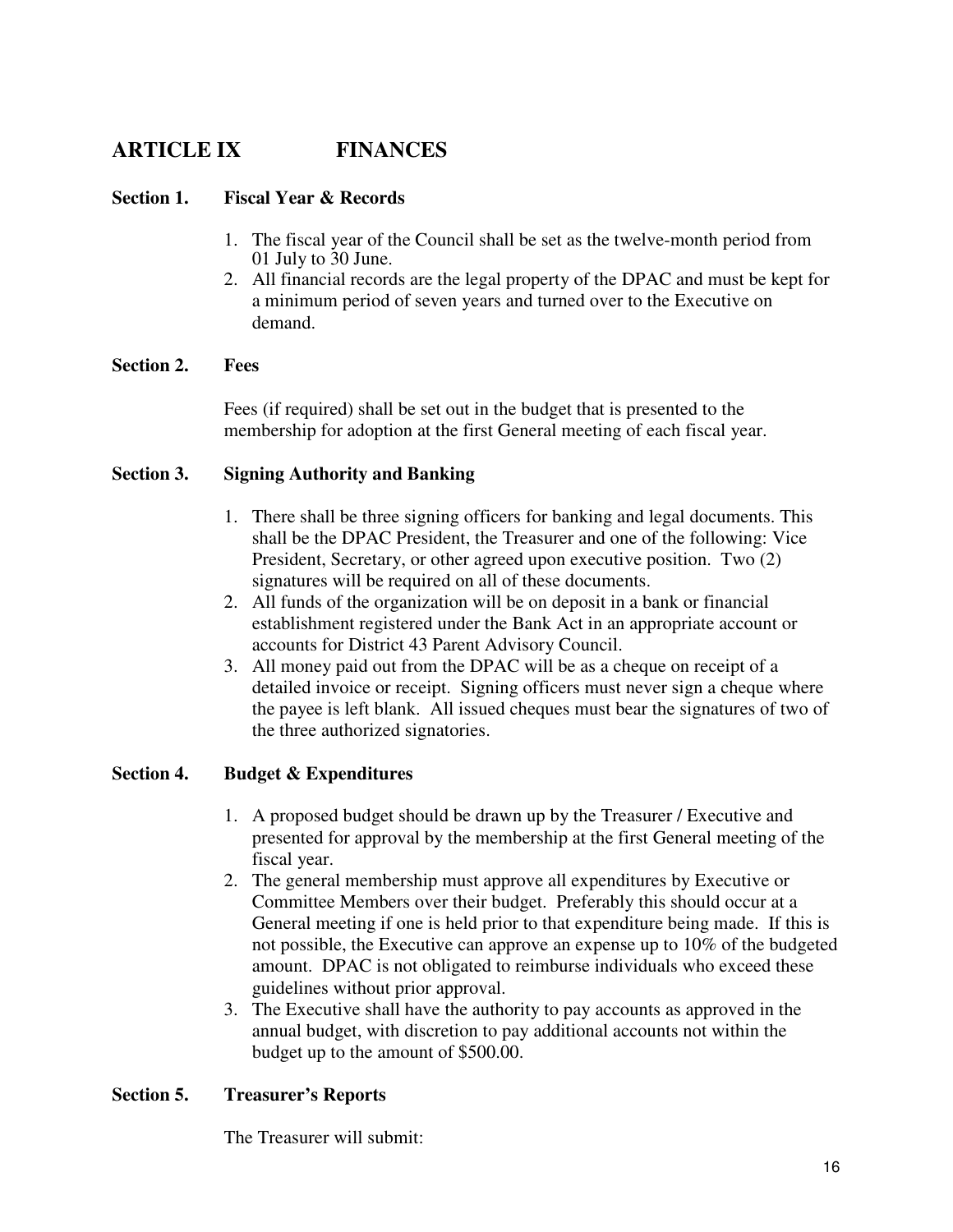# **ARTICLE IX FINANCES**

#### **Section 1. Fiscal Year & Records**

- 1. The fiscal year of the Council shall be set as the twelve-month period from 01 July to 30 June.
- 2. All financial records are the legal property of the DPAC and must be kept for a minimum period of seven years and turned over to the Executive on demand.

#### **Section 2. Fees**

Fees (if required) shall be set out in the budget that is presented to the membership for adoption at the first General meeting of each fiscal year.

#### **Section 3. Signing Authority and Banking**

- 1. There shall be three signing officers for banking and legal documents. This shall be the DPAC President, the Treasurer and one of the following: Vice President, Secretary, or other agreed upon executive position. Two (2) signatures will be required on all of these documents.
- 2. All funds of the organization will be on deposit in a bank or financial establishment registered under the Bank Act in an appropriate account or accounts for District 43 Parent Advisory Council.
- 3. All money paid out from the DPAC will be as a cheque on receipt of a detailed invoice or receipt. Signing officers must never sign a cheque where the payee is left blank. All issued cheques must bear the signatures of two of the three authorized signatories.

#### **Section 4. Budget & Expenditures**

- 1. A proposed budget should be drawn up by the Treasurer / Executive and presented for approval by the membership at the first General meeting of the fiscal year.
- 2. The general membership must approve all expenditures by Executive or Committee Members over their budget. Preferably this should occur at a General meeting if one is held prior to that expenditure being made. If this is not possible, the Executive can approve an expense up to 10% of the budgeted amount. DPAC is not obligated to reimburse individuals who exceed these guidelines without prior approval.
- 3. The Executive shall have the authority to pay accounts as approved in the annual budget, with discretion to pay additional accounts not within the budget up to the amount of \$500.00.

#### **Section 5. Treasurer's Reports**

The Treasurer will submit: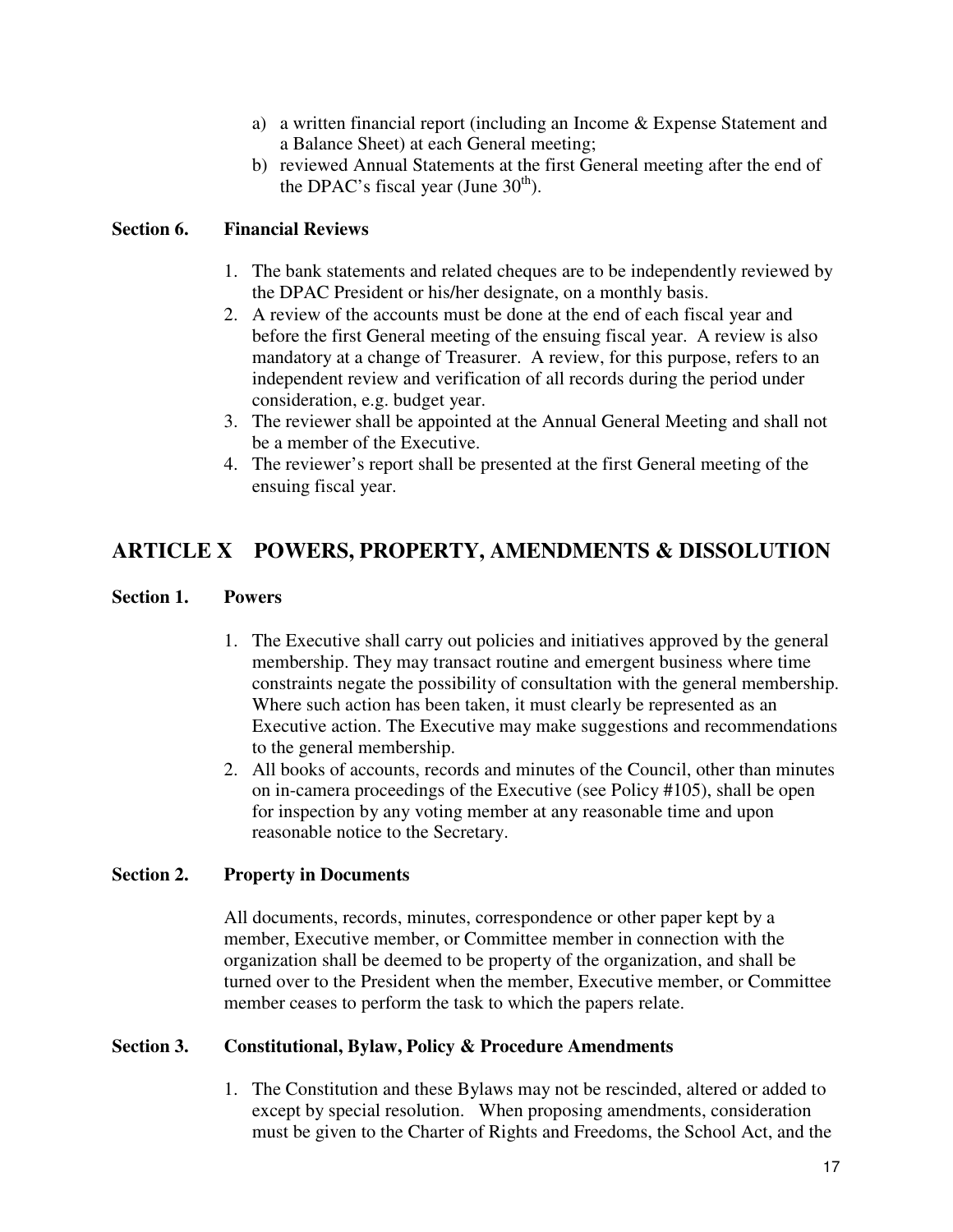- a) a written financial report (including an Income & Expense Statement and a Balance Sheet) at each General meeting;
- b) reviewed Annual Statements at the first General meeting after the end of the DPAC's fiscal year (June  $30<sup>th</sup>$ ).

#### **Section 6. Financial Reviews**

- 1. The bank statements and related cheques are to be independently reviewed by the DPAC President or his/her designate, on a monthly basis.
- 2. A review of the accounts must be done at the end of each fiscal year and before the first General meeting of the ensuing fiscal year. A review is also mandatory at a change of Treasurer. A review, for this purpose, refers to an independent review and verification of all records during the period under consideration, e.g. budget year.
- 3. The reviewer shall be appointed at the Annual General Meeting and shall not be a member of the Executive.
- 4. The reviewer's report shall be presented at the first General meeting of the ensuing fiscal year.

# **ARTICLE X POWERS, PROPERTY, AMENDMENTS & DISSOLUTION**

#### **Section 1. Powers**

- 1. The Executive shall carry out policies and initiatives approved by the general membership. They may transact routine and emergent business where time constraints negate the possibility of consultation with the general membership. Where such action has been taken, it must clearly be represented as an Executive action. The Executive may make suggestions and recommendations to the general membership.
- 2. All books of accounts, records and minutes of the Council, other than minutes on in-camera proceedings of the Executive (see Policy #105), shall be open for inspection by any voting member at any reasonable time and upon reasonable notice to the Secretary.

#### **Section 2. Property in Documents**

All documents, records, minutes, correspondence or other paper kept by a member, Executive member, or Committee member in connection with the organization shall be deemed to be property of the organization, and shall be turned over to the President when the member, Executive member, or Committee member ceases to perform the task to which the papers relate.

#### **Section 3. Constitutional, Bylaw, Policy & Procedure Amendments**

1. The Constitution and these Bylaws may not be rescinded, altered or added to except by special resolution. When proposing amendments, consideration must be given to the Charter of Rights and Freedoms, the School Act, and the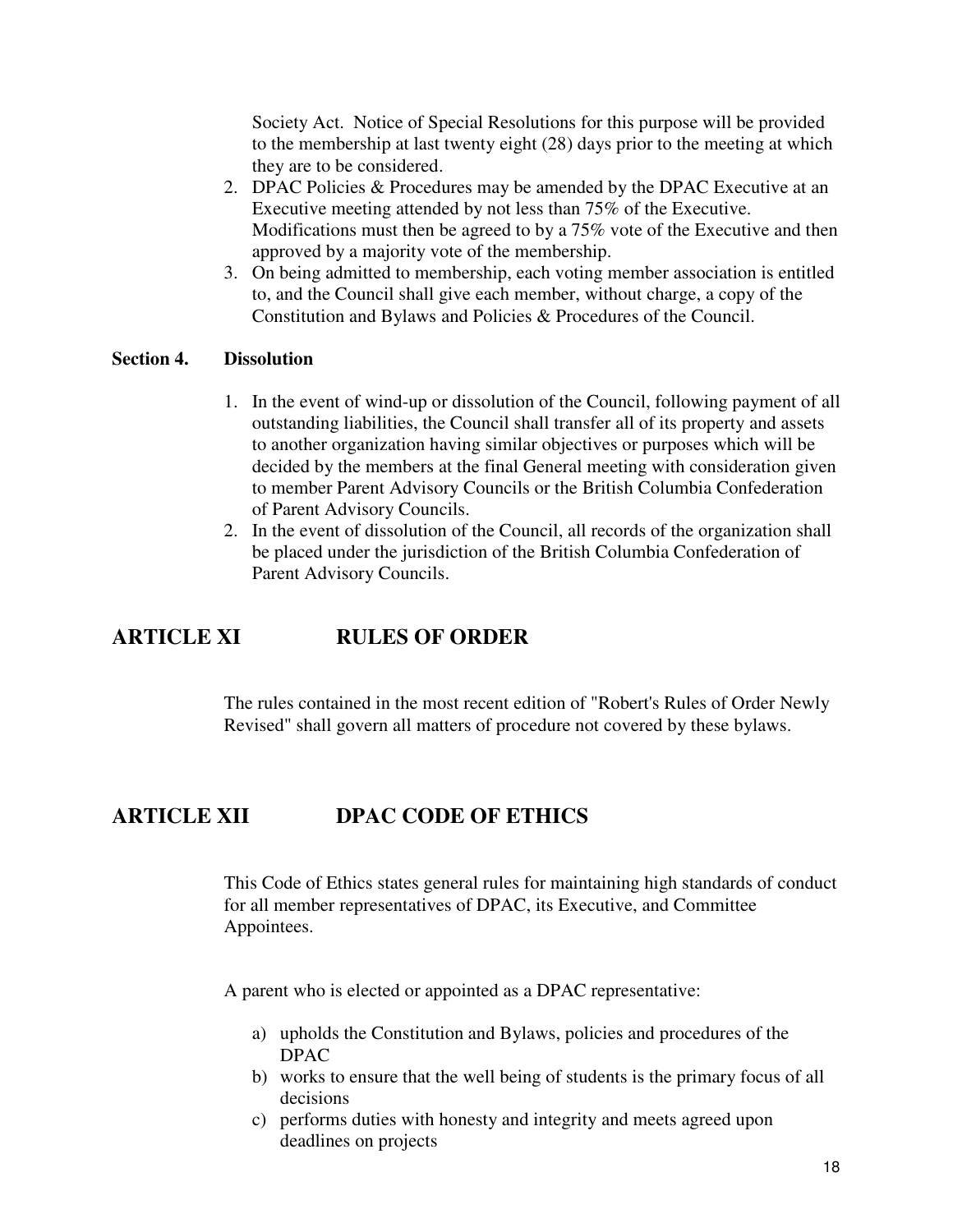Society Act. Notice of Special Resolutions for this purpose will be provided to the membership at last twenty eight (28) days prior to the meeting at which they are to be considered.

- 2. DPAC Policies & Procedures may be amended by the DPAC Executive at an Executive meeting attended by not less than 75% of the Executive. Modifications must then be agreed to by a 75% vote of the Executive and then approved by a majority vote of the membership.
- 3. On being admitted to membership, each voting member association is entitled to, and the Council shall give each member, without charge, a copy of the Constitution and Bylaws and Policies & Procedures of the Council.

#### **Section 4. Dissolution**

- 1. In the event of wind-up or dissolution of the Council, following payment of all outstanding liabilities, the Council shall transfer all of its property and assets to another organization having similar objectives or purposes which will be decided by the members at the final General meeting with consideration given to member Parent Advisory Councils or the British Columbia Confederation of Parent Advisory Councils.
- 2. In the event of dissolution of the Council, all records of the organization shall be placed under the jurisdiction of the British Columbia Confederation of Parent Advisory Councils.

### **ARTICLE XI RULES OF ORDER**

The rules contained in the most recent edition of "Robert's Rules of Order Newly Revised" shall govern all matters of procedure not covered by these bylaws.

### **ARTICLE XII DPAC CODE OF ETHICS**

This Code of Ethics states general rules for maintaining high standards of conduct for all member representatives of DPAC, its Executive, and Committee Appointees.

A parent who is elected or appointed as a DPAC representative:

- a) upholds the Constitution and Bylaws, policies and procedures of the DPAC
- b) works to ensure that the well being of students is the primary focus of all decisions
- c) performs duties with honesty and integrity and meets agreed upon deadlines on projects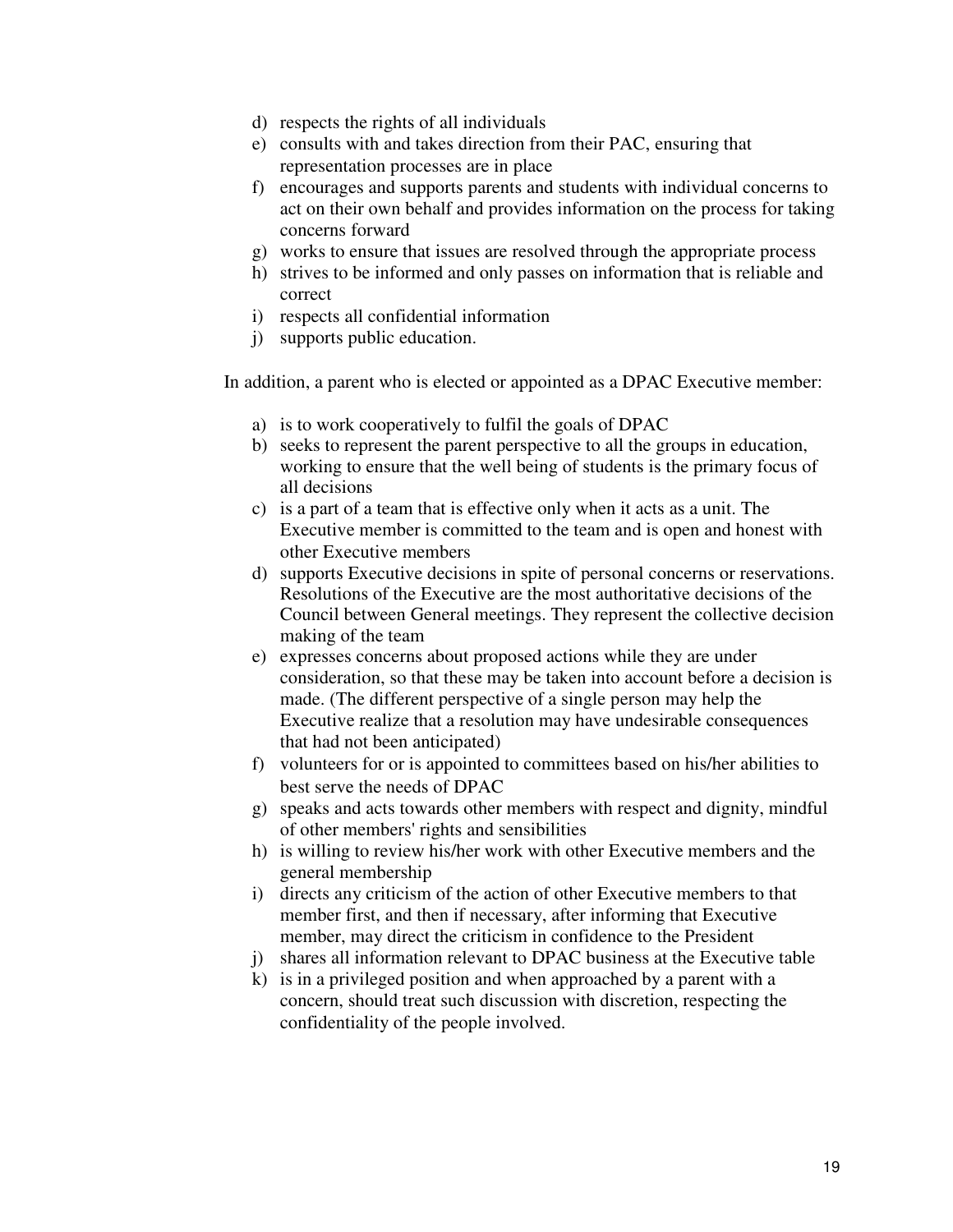- d) respects the rights of all individuals
- e) consults with and takes direction from their PAC, ensuring that representation processes are in place
- f) encourages and supports parents and students with individual concerns to act on their own behalf and provides information on the process for taking concerns forward
- g) works to ensure that issues are resolved through the appropriate process
- h) strives to be informed and only passes on information that is reliable and correct
- i) respects all confidential information
- j) supports public education.

In addition, a parent who is elected or appointed as a DPAC Executive member:

- a) is to work cooperatively to fulfil the goals of DPAC
- b) seeks to represent the parent perspective to all the groups in education, working to ensure that the well being of students is the primary focus of all decisions
- c) is a part of a team that is effective only when it acts as a unit. The Executive member is committed to the team and is open and honest with other Executive members
- d) supports Executive decisions in spite of personal concerns or reservations. Resolutions of the Executive are the most authoritative decisions of the Council between General meetings. They represent the collective decision making of the team
- e) expresses concerns about proposed actions while they are under consideration, so that these may be taken into account before a decision is made. (The different perspective of a single person may help the Executive realize that a resolution may have undesirable consequences that had not been anticipated)
- f) volunteers for or is appointed to committees based on his/her abilities to best serve the needs of DPAC
- g) speaks and acts towards other members with respect and dignity, mindful of other members' rights and sensibilities
- h) is willing to review his/her work with other Executive members and the general membership
- i) directs any criticism of the action of other Executive members to that member first, and then if necessary, after informing that Executive member, may direct the criticism in confidence to the President
- j) shares all information relevant to DPAC business at the Executive table
- k) is in a privileged position and when approached by a parent with a concern, should treat such discussion with discretion, respecting the confidentiality of the people involved.